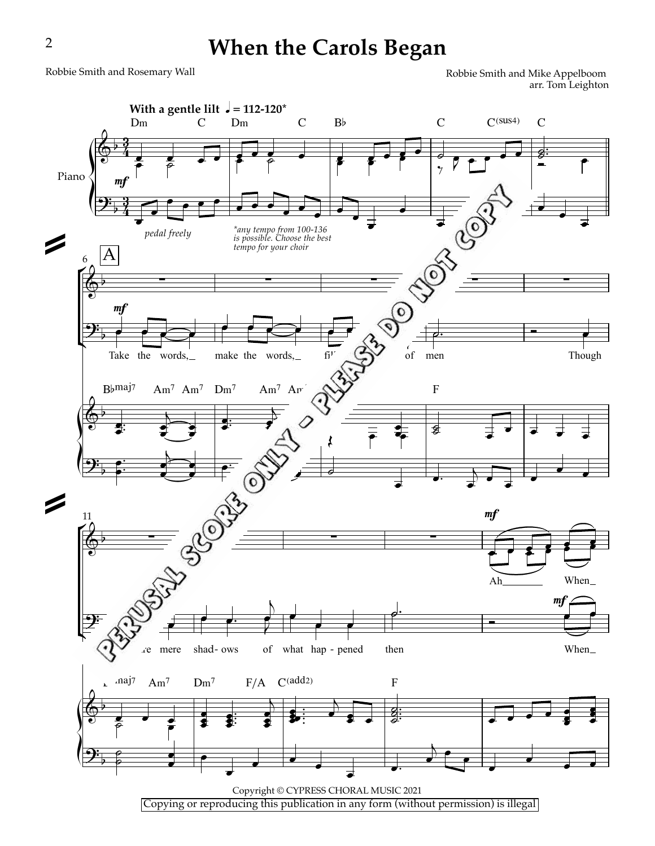## **When the Carols Began**

Robbie Smith and Rosemary Wall

Robbie Smith and Mike Appelboom arr. Tom Leighton

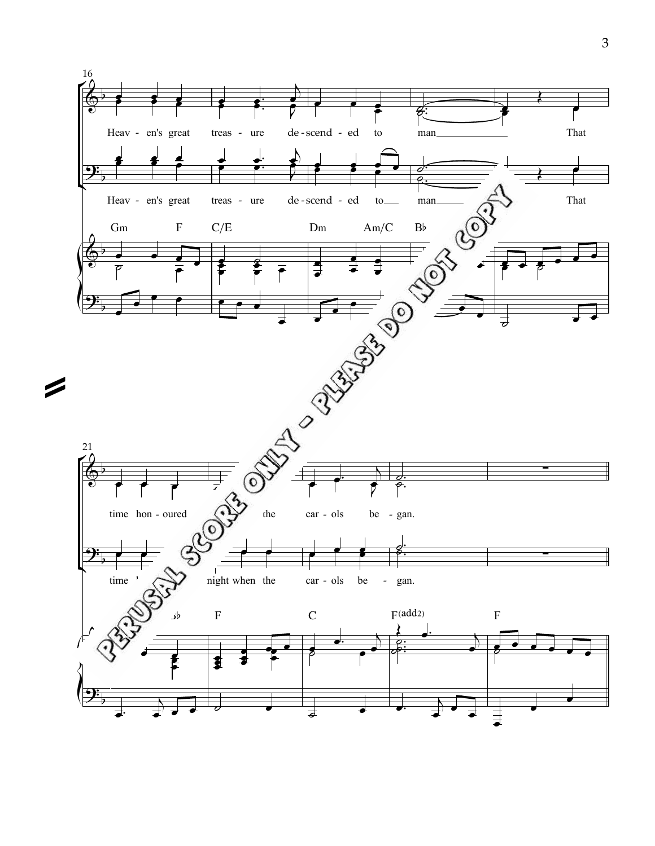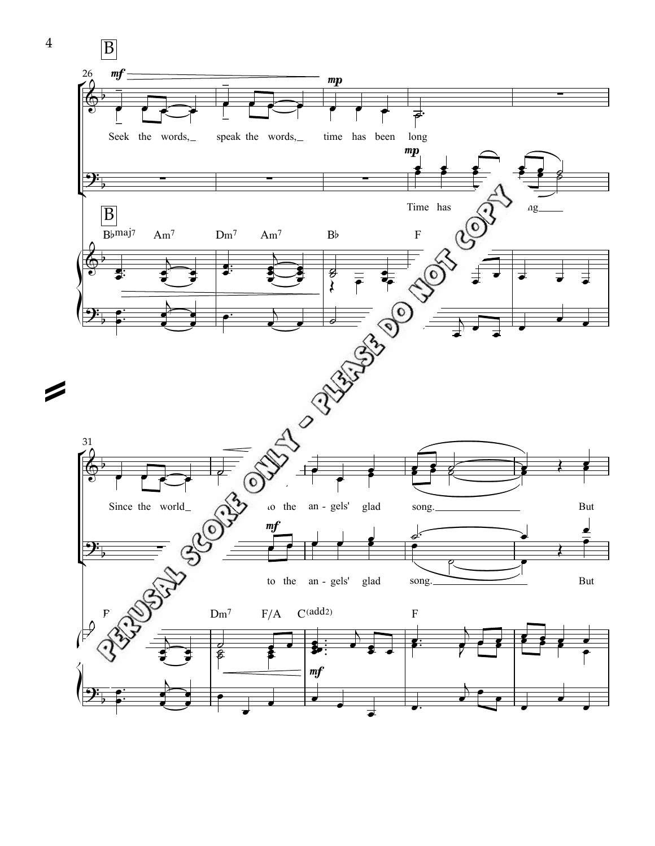

 $\overline{4}$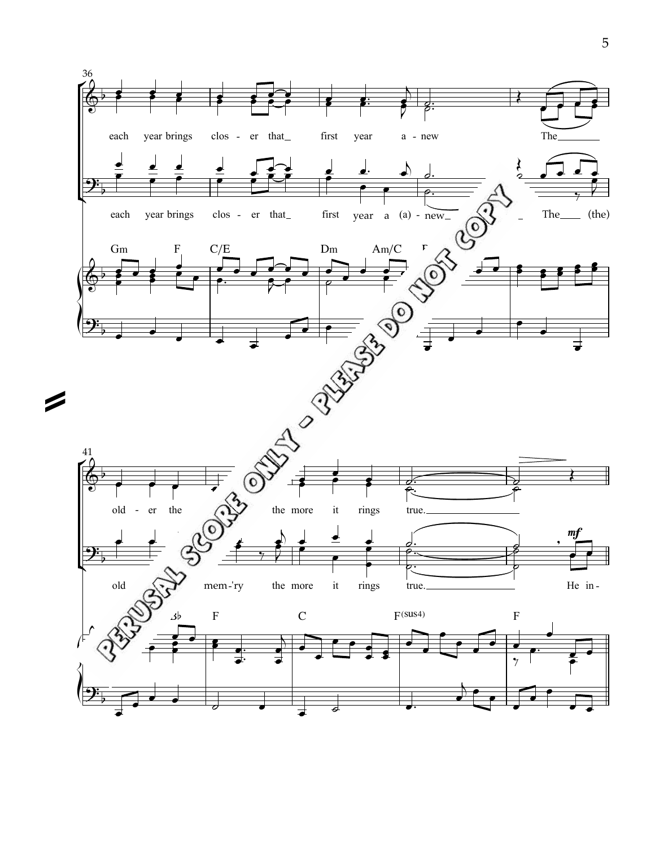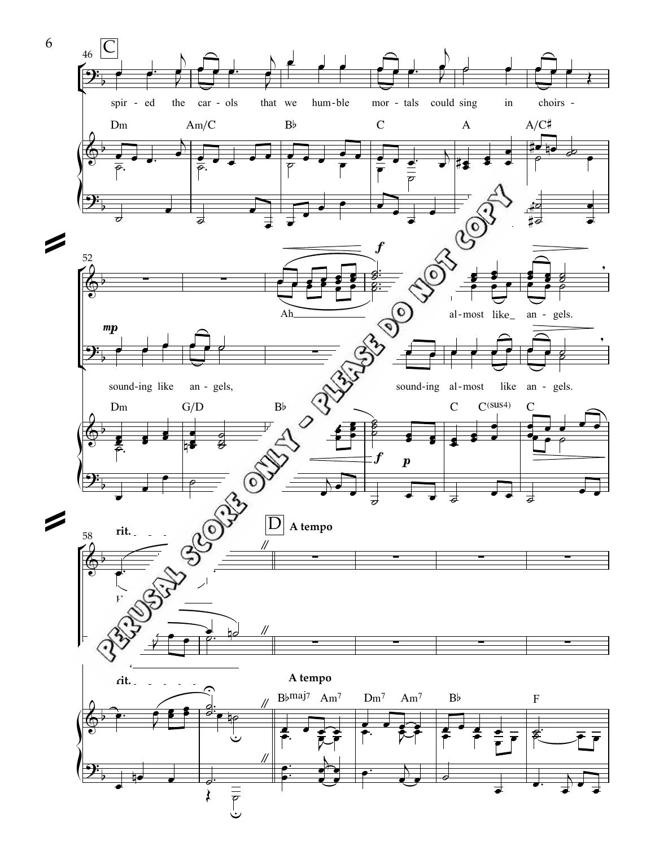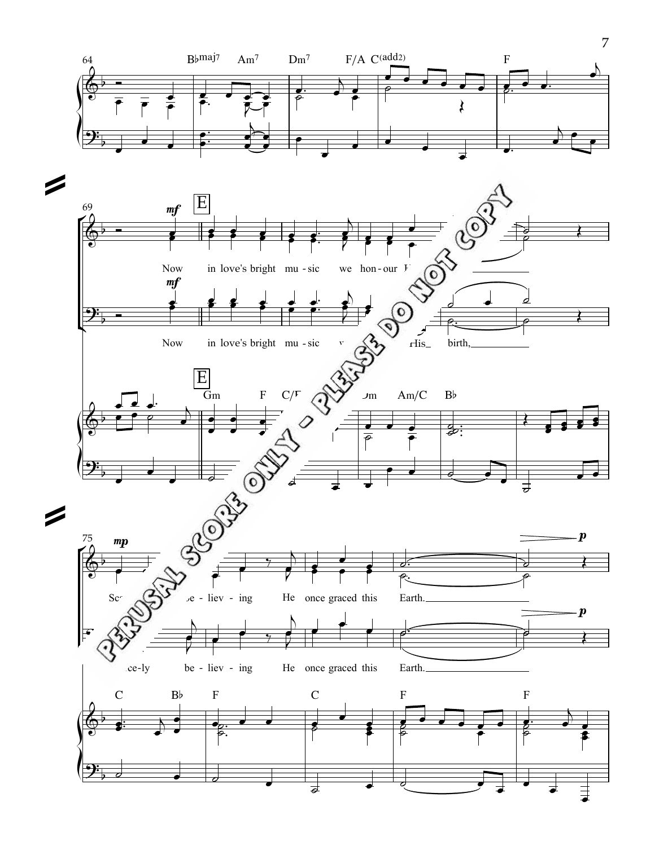

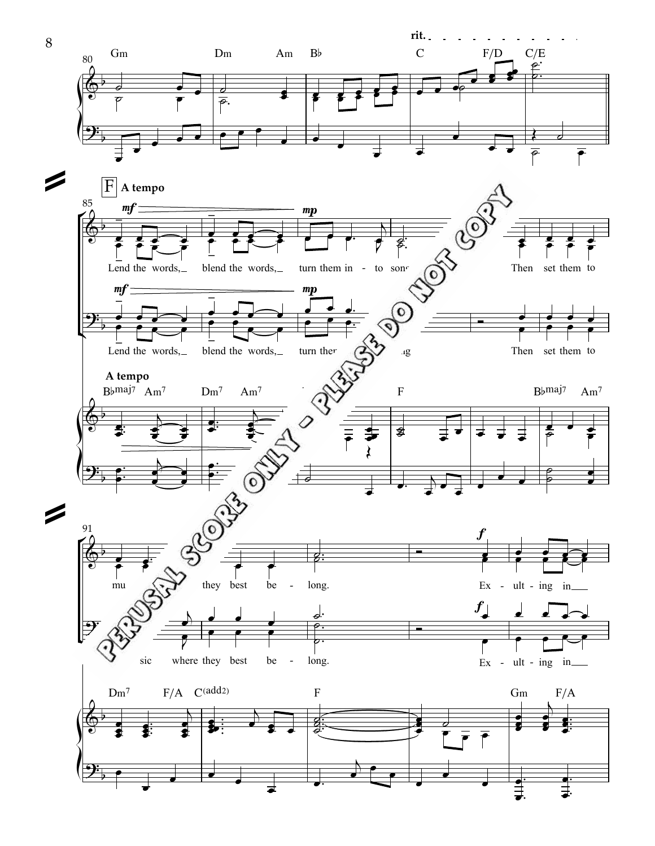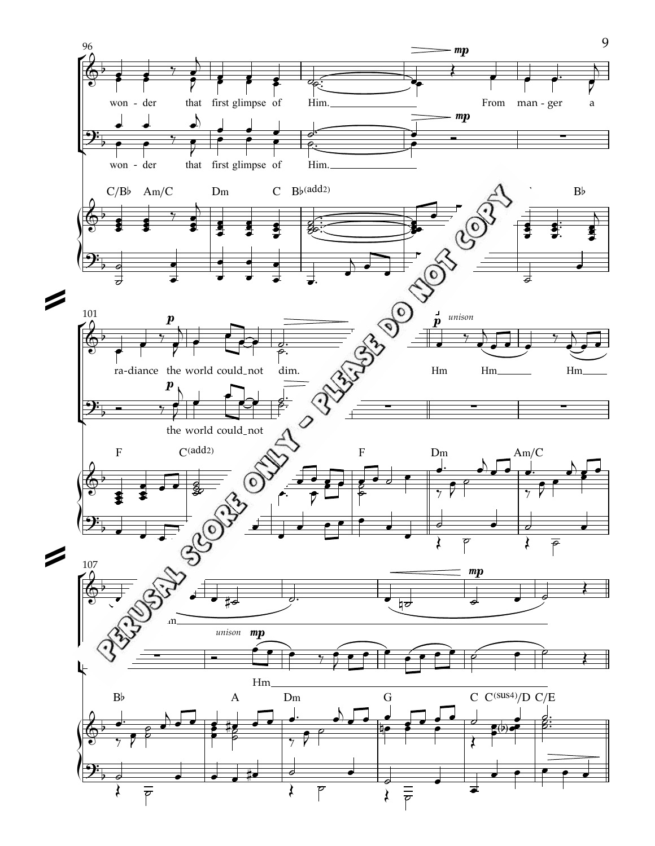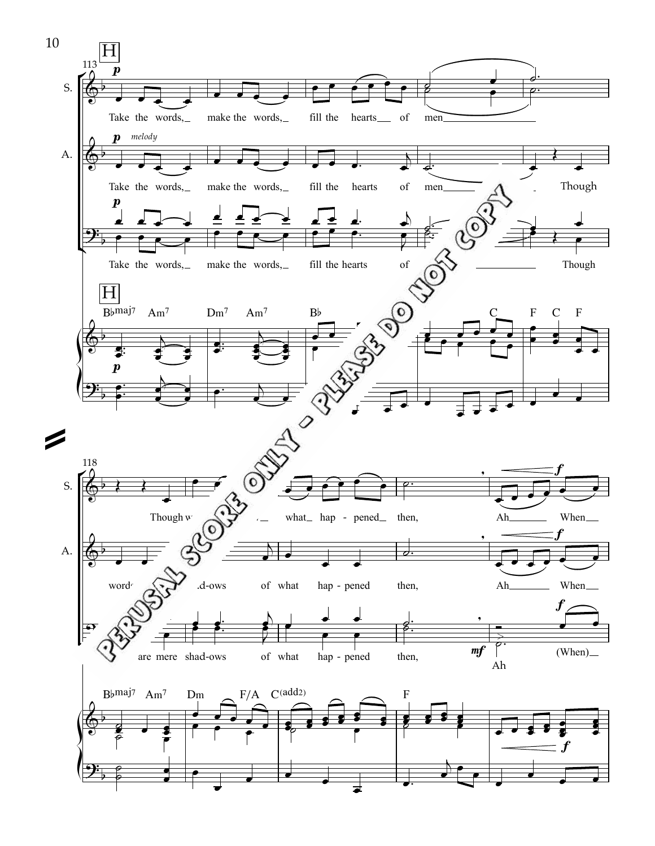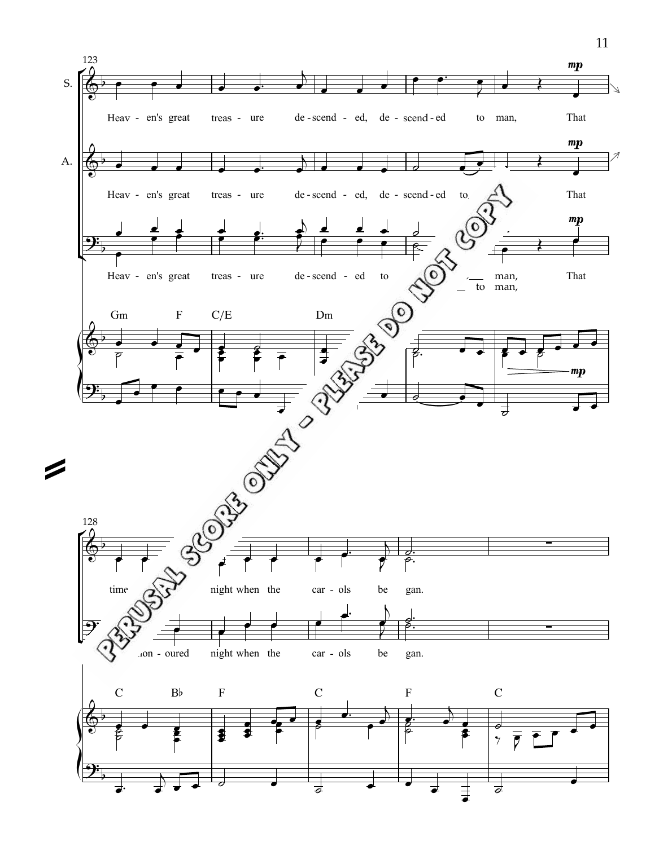